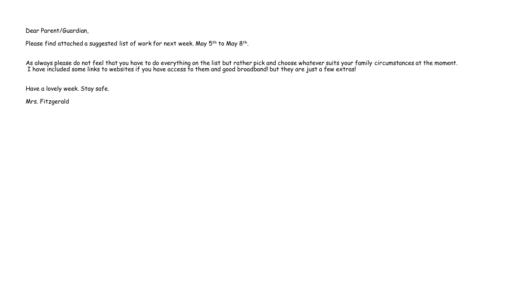Dear Parent/Guardian,

Please find attached a suggested list of work for next week. May 5th to May 8th.

As always please do not feel that you have to do everything on the list but rather pick and choose whatever suits your family circumstances at the moment. I have included some links to websites if you have access to them and good broadband! but they are just a few extras!

Have a lovely week. Stay safe.

Mrs. Fitzgerald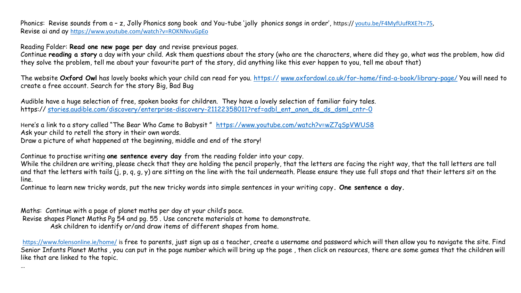Phonics: Revise sounds from a - z, Jolly Phonics song book and You-tube 'jolly phonics songs in order', https:// [youtu.be/F4MyfUufRXE?t=75](http://youtu.be/F4MyfUufRXE?t=75),

Revise ai and ay <https://www.youtube.com/watch?v=ROKNNvuGpEo>

Reading Folder: **Read one new page per day** and revise previous pages.

Continue **reading a story** a day with your child. Ask them questions about the story (who are the characters, where did they go, what was the problem, how did they solve the problem, tell me about your favourite part of the story, did anything like this ever happen to you, tell me about that)

The website **Oxford Owl** has lovely books which your child can read for you. [https://](http://https/www.oxfordowl.co.uk/for-home/find-a-book/library-page/) [www.oxfordowl.co.uk/for-home/find-a-book/library-page/](http://www.oxfordowl.co.uk/for-home/find-a-book/library-page/) You will need to create a free account. Search for the story Big, Bad Bug

Audible have a huge selection of free, spoken books for children. They have a lovely selection of familiar fairy tales. https:// [stories.audible.com/discovery/enterprise-discovery-21122358011?ref=adbl\\_ent\\_anon\\_ds\\_ds\\_dsml\\_cntr-0](http://stories.audible.com/discovery/enterprise-discovery-21122358011?ref=adbl_ent_anon_ds_ds_dsml_cntr-0)

Here's a link to a story called "The Bear Who Came to Babysit " <https://www.youtube.com/watch?v=wZ7qSpVWUS8> Ask your child to retell the story in their own words.

Draw a picture of what happened at the beginning, middle and end of the story!

Continue to practise writing **one sentence every day** from the reading folder into your copy.

While the children are writing, please check that they are holding the pencil properly, that the letters are facing the right way, that the tall letters are tall and that the letters with tails (j, p, q, g, y) are sitting on the line with the tail underneath. Please ensure they use full stops and that their letters sit on the line.

Continue to learn new tricky words, put the new tricky words into simple sentences in your writing copy**. One sentence a day.**

Maths: Continue with a page of planet maths per day at your child's pace. Revise shapes Planet Maths Pg 54 and pg. 55 . Use concrete materials at home to demonstrate. Ask children to identify or/and draw items of different shapes from home.

<https://www.folensonline.ie/home/> is free to parents, just sign up as a teacher, create a username and password which will then allow you to navigate the site. Find Senior Infants Planet Maths , you can put in the page number which will bring up the page , then click on resources, there are some games that the children will like that are linked to the topic.

…